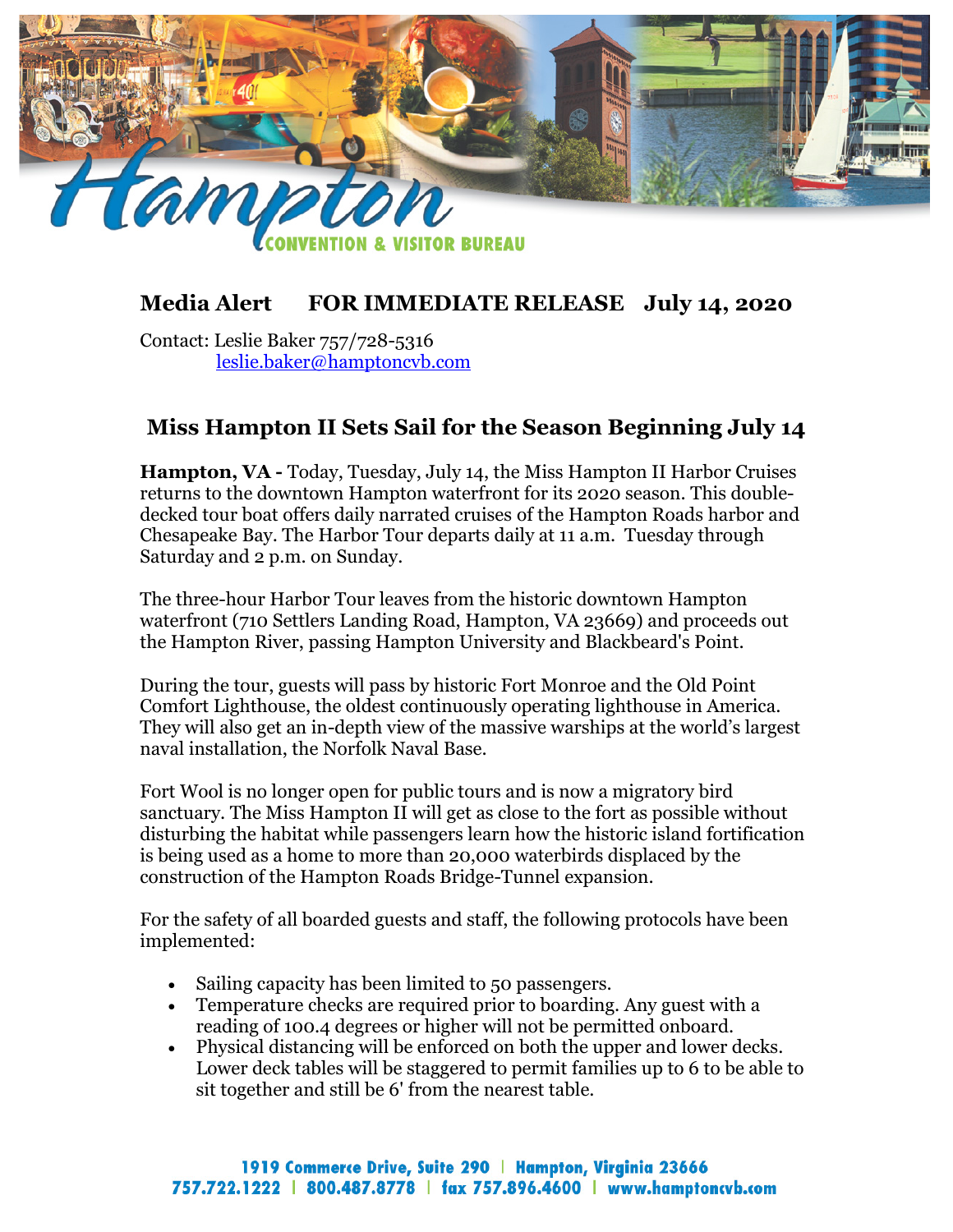

## **Media Alert FOR IMMEDIATE RELEASE July 14, 2020**

Contact: Leslie Baker 757/728-5316 [leslie.baker@hamptoncvb.com](mailto:leslie.baker@hamptoncvb.com)

## **Miss Hampton II Sets Sail for the Season Beginning July 14**

**Hampton, VA -** Today, Tuesday, July 14, the Miss Hampton II Harbor Cruises returns to the downtown Hampton waterfront for its 2020 season. This doubledecked tour boat offers daily narrated cruises of the Hampton Roads harbor and Chesapeake Bay. The Harbor Tour departs daily at 11 a.m. Tuesday through Saturday and 2 p.m. on Sunday.

The three-hour Harbor Tour leaves from the historic downtown Hampton waterfront (710 Settlers Landing Road, Hampton, VA 23669) and proceeds out the Hampton River, passing Hampton University and Blackbeard's Point.

During the tour, guests will pass by historic Fort Monroe and the Old Point Comfort Lighthouse, the oldest continuously operating lighthouse in America. They will also get an in-depth view of the massive warships at the world's largest naval installation, the Norfolk Naval Base.

Fort Wool is no longer open for public tours and is now a migratory bird sanctuary. The Miss Hampton II will get as close to the fort as possible without disturbing the habitat while passengers learn how the historic island fortification is being used as a home to more than 20,000 waterbirds displaced by the construction of the Hampton Roads Bridge-Tunnel expansion.

For the safety of all boarded guests and staff, the following protocols have been implemented:

- Sailing capacity has been limited to 50 passengers.
- Temperature checks are required prior to boarding. Any guest with a reading of 100.4 degrees or higher will not be permitted onboard.
- Physical distancing will be enforced on both the upper and lower decks. Lower deck tables will be staggered to permit families up to 6 to be able to sit together and still be 6' from the nearest table.